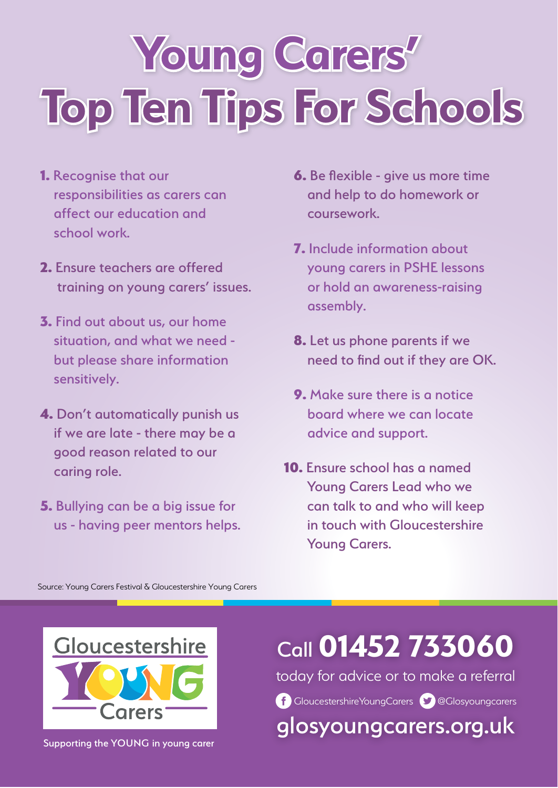# **Young Carers' Top Ten Tips For Schools**

- 1. Recognise that our responsibilities as carers can affect our education and school work.
- 2. Ensure teachers are offered training on young carers' issues.
- 3. Find out about us, our home situation, and what we need but please share information sensitively.
- 4. Don't automatically punish us if we are late - there may be a good reason related to our caring role.
- 5. Bullying can be a big issue for us - having peer mentors helps.
- 6. Be flexible give us more time and help to do homework or coursework.
- 7. Include information about young carers in PSHE lessons or hold an awareness-raising assembly.
- 8. Let us phone parents if we need to find out if they are OK.
- 9. Make sure there is a notice board where we can locate advice and support.
- 10. Ensure school has a named Young Carers Lead who we can talk to and who will keep in touch with Gloucestershire Young Carers.

Source: Young Carers Festival & Gloucestershire Young Carers



Supporting the YOUNG in young carer

#### Call **01452 733060**

today for advice or to make a referral

GloucestershireYoungCarers **@Glosyoungcarers** 

glosyoungcarers.org.uk